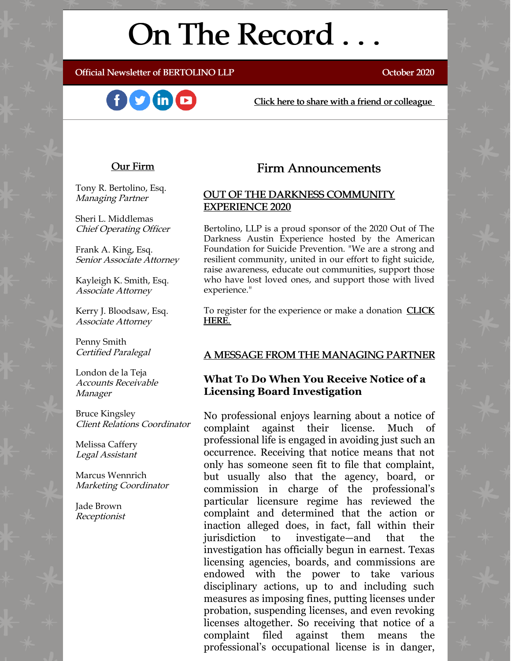# On The Record . . .

Official Newsletter of BERTOLINO LLP **CONSERVING CONSERVATION** October 2020





[Click here to share with a friend or colleague](https://visitor.r20.constantcontact.com/manage/optin?v=001xvcZBIZGArRYZxP_ENhTFsnPqgcrAHF_8FAGh0C6OoU_TYzgqPeo9kiI5F5Vb-xdZP7jClYZWX2ttQp6Q7JygJ1sq0DH9MDHJwjzNoREDc4=)

#### Our Firm

Tony R. Bertolino, Esq. Managing Partner

Sheri L. Middlemas Chief Operating Officer

Frank A. King, Esq. Senior Associate Attorney

Kayleigh K. Smith, Esq. Associate Attorney

Kerry J. Bloodsaw, Esq. Associate Attorney

Penny Smith Certified Paralegal

London de la Teja Accounts Receivable Manager

Bruce Kingsley Client Relations Coordinator

Melissa Caffery Legal Assistant

Marcus Wennrich Marketing Coordinator

Jade Brown Receptionist

## Firm Announcements

### OUT OF THE DARKNESS COMMUNITY EXPERIENCE 2020

Bertolino, LLP is a proud sponsor of the 2020 Out of The Darkness Austin Experience hosted by the American Foundation for Suicide Prevention. "We are a strong and resilient community, united in our effort to fight suicide, raise awareness, educate out communities, support those who have lost loved ones, and support those with lived experience."

To register for the experience or make a donation **CLICK** HERE.

### A MESSAGE FROM THE MANAGING PARTNER

### **What To Do When You Receive Notice of a Licensing Board Investigation**

No professional enjoys learning about a notice of complaint against their license. Much of professional life is engaged in avoiding just such an occurrence. Receiving that notice means that not only has someone seen fit to file that complaint, but usually also that the agency, board, or commission in charge of the professional's particular licensure regime has reviewed the complaint and determined that the action or inaction alleged does, in fact, fall within their jurisdiction to investigate—and that the investigation has officially begun in earnest. Texas licensing agencies, boards, and commissions are endowed with the power to take various disciplinary actions, up to and including such measures as imposing fines, putting licenses under probation, suspending licenses, and even revoking licenses altogether. So receiving that notice of a complaint filed against them means the professional's occupational license is in danger,